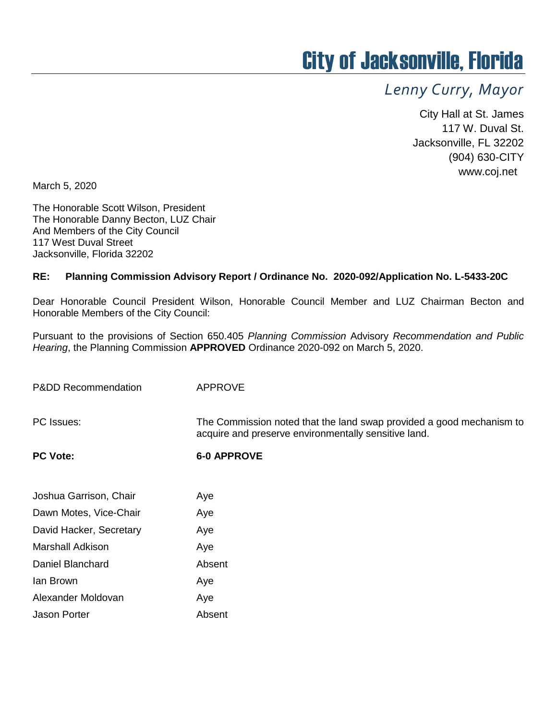# City of Jacksonville, Florida

# *Lenny Curry, Mayor*

City Hall at St. James 117 W. Duval St. Jacksonville, FL 32202 (904) 630-CITY www.coj.net

March 5, 2020

The Honorable Scott Wilson, President The Honorable Danny Becton, LUZ Chair And Members of the City Council 117 West Duval Street Jacksonville, Florida 32202

#### **RE: Planning Commission Advisory Report / Ordinance No. 2020-092/Application No. L-5433-20C**

Dear Honorable Council President Wilson, Honorable Council Member and LUZ Chairman Becton and Honorable Members of the City Council:

Pursuant to the provisions of Section 650.405 *Planning Commission* Advisory *Recommendation and Public Hearing*, the Planning Commission **APPROVED** Ordinance 2020-092 on March 5, 2020.

| <b>APPROVE</b>                                                                                                               |
|------------------------------------------------------------------------------------------------------------------------------|
| The Commission noted that the land swap provided a good mechanism to<br>acquire and preserve environmentally sensitive land. |
| <b>6-0 APPROVE</b>                                                                                                           |
| Aye                                                                                                                          |
| Aye                                                                                                                          |
| Aye                                                                                                                          |
| Aye                                                                                                                          |
| Absent                                                                                                                       |
| Aye                                                                                                                          |
| Aye                                                                                                                          |
|                                                                                                                              |

Jason Porter **Absent**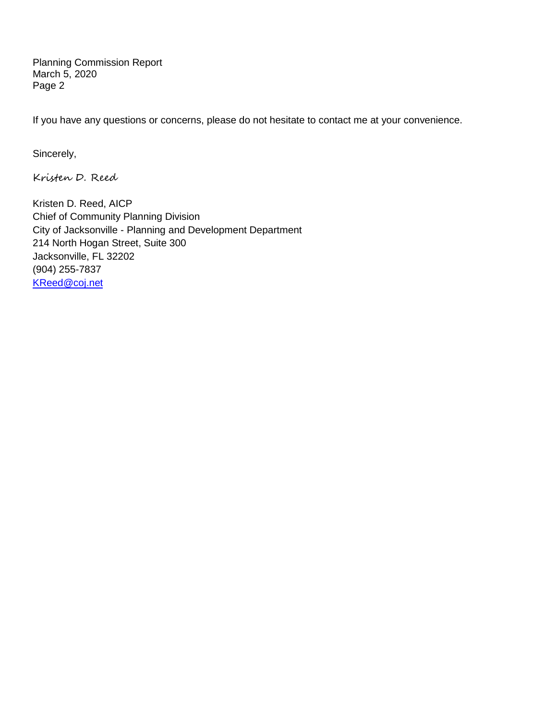Planning Commission Report March 5, 2020 Page 2

If you have any questions or concerns, please do not hesitate to contact me at your convenience.

Sincerely,

Kristen D. Reed

Kristen D. Reed, AICP Chief of Community Planning Division City of Jacksonville - Planning and Development Department 214 North Hogan Street, Suite 300 Jacksonville, FL 32202 (904) 255-7837 [KReed@coj.net](mailto:KReed@coj.net)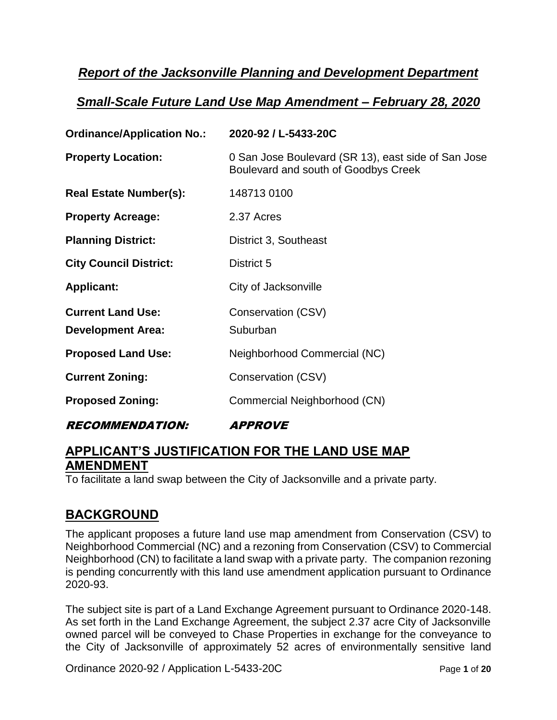### *Report of the Jacksonville Planning and Development Department*

#### *Small-Scale Future Land Use Map Amendment – February 28, 2020*

| <b>Ordinance/Application No.:</b> | 2020-92 / L-5433-20C                                                                        |
|-----------------------------------|---------------------------------------------------------------------------------------------|
| <b>Property Location:</b>         | 0 San Jose Boulevard (SR 13), east side of San Jose<br>Boulevard and south of Goodbys Creek |
| <b>Real Estate Number(s):</b>     | 148713 0100                                                                                 |
| <b>Property Acreage:</b>          | 2.37 Acres                                                                                  |
| <b>Planning District:</b>         | District 3, Southeast                                                                       |
| <b>City Council District:</b>     | District 5                                                                                  |
| <b>Applicant:</b>                 | City of Jacksonville                                                                        |
| <b>Current Land Use:</b>          | Conservation (CSV)                                                                          |
| <b>Development Area:</b>          | Suburban                                                                                    |
| <b>Proposed Land Use:</b>         | Neighborhood Commercial (NC)                                                                |
| <b>Current Zoning:</b>            | Conservation (CSV)                                                                          |
| <b>Proposed Zoning:</b>           | Commercial Neighborhood (CN)                                                                |
| <i><b>RECOMMENDATION:</b></i>     | <i><b>APPROVE</b></i>                                                                       |

### **APPLICANT'S JUSTIFICATION FOR THE LAND USE MAP AMENDMENT**

To facilitate a land swap between the City of Jacksonville and a private party.

#### **BACKGROUND**

The applicant proposes a future land use map amendment from Conservation (CSV) to Neighborhood Commercial (NC) and a rezoning from Conservation (CSV) to Commercial Neighborhood (CN) to facilitate a land swap with a private party. The companion rezoning is pending concurrently with this land use amendment application pursuant to Ordinance 2020-93.

The subject site is part of a Land Exchange Agreement pursuant to Ordinance 2020-148. As set forth in the Land Exchange Agreement, the subject 2.37 acre City of Jacksonville owned parcel will be conveyed to Chase Properties in exchange for the conveyance to the City of Jacksonville of approximately 52 acres of environmentally sensitive land

Ordinance 2020-92 / Application L-5433-20C Page **1** of **20**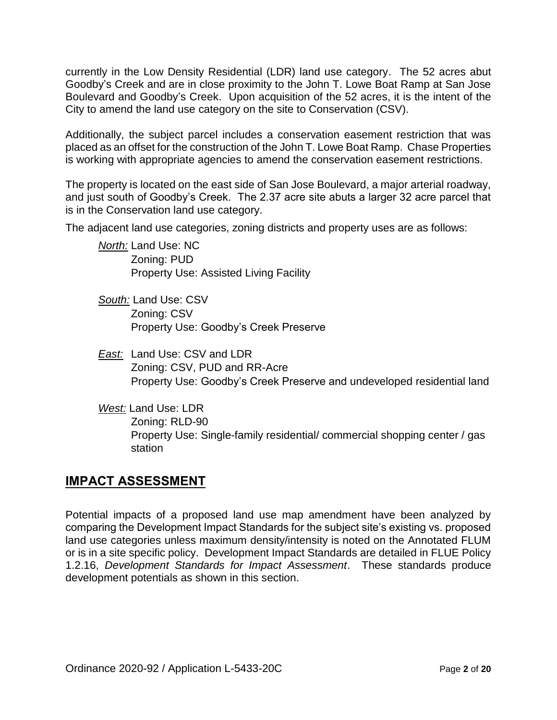currently in the Low Density Residential (LDR) land use category. The 52 acres abut Goodby's Creek and are in close proximity to the John T. Lowe Boat Ramp at San Jose Boulevard and Goodby's Creek. Upon acquisition of the 52 acres, it is the intent of the City to amend the land use category on the site to Conservation (CSV).

Additionally, the subject parcel includes a conservation easement restriction that was placed as an offset for the construction of the John T. Lowe Boat Ramp. Chase Properties is working with appropriate agencies to amend the conservation easement restrictions.

The property is located on the east side of San Jose Boulevard, a major arterial roadway, and just south of Goodby's Creek. The 2.37 acre site abuts a larger 32 acre parcel that is in the Conservation land use category.

The adjacent land use categories, zoning districts and property uses are as follows:

*North:* Land Use: NC Zoning: PUD Property Use: Assisted Living Facility

- *South:* Land Use: CSV Zoning: CSV Property Use: Goodby's Creek Preserve
- *East:* Land Use: CSV and LDR Zoning: CSV, PUD and RR-Acre Property Use: Goodby's Creek Preserve and undeveloped residential land
- *West:* Land Use: LDR Zoning: RLD-90 Property Use: Single-family residential/ commercial shopping center / gas station

#### **IMPACT ASSESSMENT**

Potential impacts of a proposed land use map amendment have been analyzed by comparing the Development Impact Standards for the subject site's existing vs. proposed land use categories unless maximum density/intensity is noted on the Annotated FLUM or is in a site specific policy. Development Impact Standards are detailed in FLUE Policy 1.2.16, *Development Standards for Impact Assessment*. These standards produce development potentials as shown in this section.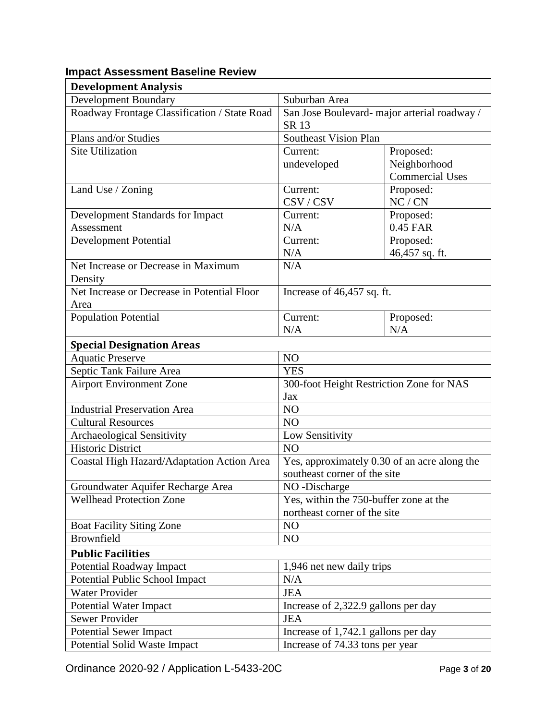| <b>Development Analysis</b>                  |                                              |                        |
|----------------------------------------------|----------------------------------------------|------------------------|
| <b>Development Boundary</b>                  | Suburban Area                                |                        |
| Roadway Frontage Classification / State Road | San Jose Boulevard- major arterial roadway / |                        |
|                                              | SR 13                                        |                        |
| Plans and/or Studies                         | <b>Southeast Vision Plan</b>                 |                        |
| <b>Site Utilization</b>                      | Current:                                     | Proposed:              |
|                                              | undeveloped                                  | Neighborhood           |
|                                              |                                              | <b>Commercial Uses</b> |
| Land Use / Zoning                            | Current:                                     | Proposed:              |
|                                              | CSV/CSV                                      | NC/CN                  |
| Development Standards for Impact             | Current:                                     | Proposed:              |
| Assessment                                   | N/A                                          | 0.45 FAR               |
| Development Potential                        | Current:                                     | Proposed:              |
|                                              | N/A                                          | 46,457 sq. ft.         |
| Net Increase or Decrease in Maximum          | N/A                                          |                        |
| Density                                      |                                              |                        |
| Net Increase or Decrease in Potential Floor  | Increase of 46,457 sq. ft.                   |                        |
| Area                                         |                                              |                        |
| <b>Population Potential</b>                  | Current:                                     | Proposed:              |
|                                              | N/A                                          | N/A                    |
| <b>Special Designation Areas</b>             |                                              |                        |
| <b>Aquatic Preserve</b>                      | NO                                           |                        |
| Septic Tank Failure Area                     | <b>YES</b>                                   |                        |
| <b>Airport Environment Zone</b>              | 300-foot Height Restriction Zone for NAS     |                        |
|                                              | Jax                                          |                        |
| <b>Industrial Preservation Area</b>          | N <sub>O</sub>                               |                        |
| <b>Cultural Resources</b>                    | N <sub>O</sub>                               |                        |
| <b>Archaeological Sensitivity</b>            | Low Sensitivity                              |                        |
| <b>Historic District</b>                     | NO                                           |                        |
| Coastal High Hazard/Adaptation Action Area   | Yes, approximately 0.30 of an acre along the |                        |
|                                              | southeast corner of the site                 |                        |
| Groundwater Aquifer Recharge Area            | NO-Discharge                                 |                        |
| <b>Wellhead Protection Zone</b>              | Yes, within the 750-buffer zone at the       |                        |
|                                              | northeast corner of the site                 |                        |
| <b>Boat Facility Siting Zone</b>             | N <sub>O</sub>                               |                        |
| Brownfield                                   | N <sub>O</sub>                               |                        |
| <b>Public Facilities</b>                     |                                              |                        |
| Potential Roadway Impact                     | 1,946 net new daily trips                    |                        |
| Potential Public School Impact               | N/A                                          |                        |
| <b>Water Provider</b>                        | <b>JEA</b>                                   |                        |
| <b>Potential Water Impact</b>                | Increase of 2,322.9 gallons per day          |                        |
| <b>Sewer Provider</b>                        | <b>JEA</b>                                   |                        |
| <b>Potential Sewer Impact</b>                | Increase of 1,742.1 gallons per day          |                        |
| Potential Solid Waste Impact                 | Increase of 74.33 tons per year              |                        |

#### **Impact Assessment Baseline Review**

Ordinance 2020-92 / Application L-5433-20C Page **3** of **20**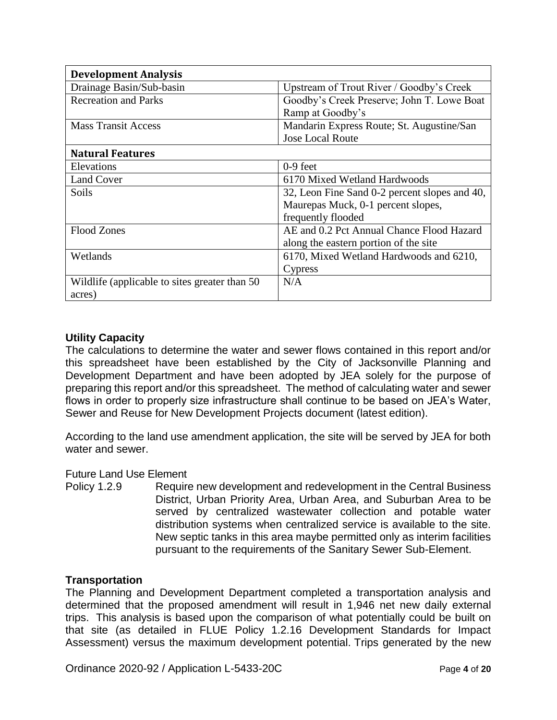| <b>Development Analysis</b>                    |                                               |
|------------------------------------------------|-----------------------------------------------|
| Drainage Basin/Sub-basin                       | Upstream of Trout River / Goodby's Creek      |
| <b>Recreation and Parks</b>                    | Goodby's Creek Preserve; John T. Lowe Boat    |
|                                                | Ramp at Goodby's                              |
| <b>Mass Transit Access</b>                     | Mandarin Express Route; St. Augustine/San     |
|                                                | <b>Jose Local Route</b>                       |
| <b>Natural Features</b>                        |                                               |
| Elevations                                     | $0-9$ feet                                    |
| Land Cover                                     | 6170 Mixed Wetland Hardwoods                  |
| <b>Soils</b>                                   | 32, Leon Fine Sand 0-2 percent slopes and 40, |
|                                                | Maurepas Muck, 0-1 percent slopes,            |
|                                                | frequently flooded                            |
| <b>Flood Zones</b>                             | AE and 0.2 Pct Annual Chance Flood Hazard     |
|                                                | along the eastern portion of the site         |
| Wetlands                                       | 6170, Mixed Wetland Hardwoods and 6210,       |
|                                                | Cypress                                       |
| Wildlife (applicable to sites greater than 50) | N/A                                           |
| acres)                                         |                                               |

#### **Utility Capacity**

The calculations to determine the water and sewer flows contained in this report and/or this spreadsheet have been established by the City of Jacksonville Planning and Development Department and have been adopted by JEA solely for the purpose of preparing this report and/or this spreadsheet. The method of calculating water and sewer flows in order to properly size infrastructure shall continue to be based on JEA's Water, Sewer and Reuse for New Development Projects document (latest edition).

According to the land use amendment application, the site will be served by JEA for both water and sewer.

#### Future Land Use Element

Policy 1.2.9 Require new development and redevelopment in the Central Business District, Urban Priority Area, Urban Area, and Suburban Area to be served by centralized wastewater collection and potable water distribution systems when centralized service is available to the site. New septic tanks in this area maybe permitted only as interim facilities pursuant to the requirements of the Sanitary Sewer Sub-Element.

#### **Transportation**

The Planning and Development Department completed a transportation analysis and determined that the proposed amendment will result in 1,946 net new daily external trips. This analysis is based upon the comparison of what potentially could be built on that site (as detailed in FLUE Policy 1.2.16 Development Standards for Impact Assessment) versus the maximum development potential. Trips generated by the new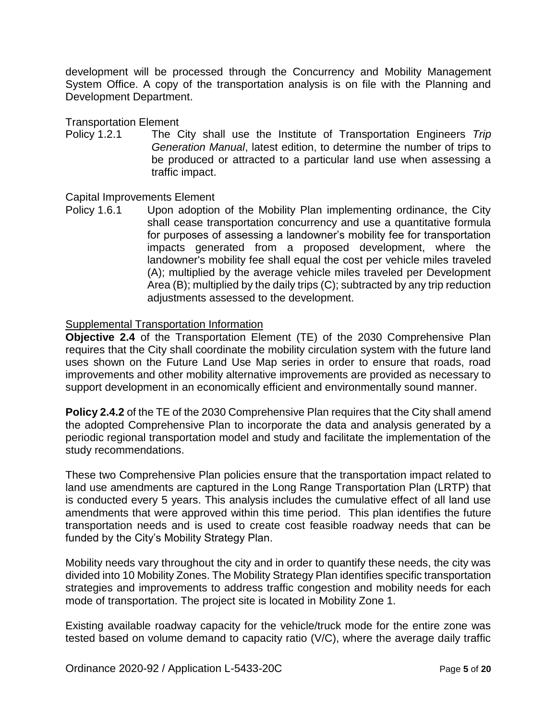development will be processed through the Concurrency and Mobility Management System Office. A copy of the transportation analysis is on file with the Planning and Development Department.

Transportation Element

Policy 1.2.1 The City shall use the Institute of Transportation Engineers *Trip Generation Manual*, latest edition, to determine the number of trips to be produced or attracted to a particular land use when assessing a traffic impact.

#### Capital Improvements Element

Policy 1.6.1 Upon adoption of the Mobility Plan implementing ordinance, the City shall cease transportation concurrency and use a quantitative formula for purposes of assessing a landowner's mobility fee for transportation impacts generated from a proposed development, where the landowner's mobility fee shall equal the cost per vehicle miles traveled (A); multiplied by the average vehicle miles traveled per Development Area (B); multiplied by the daily trips (C); subtracted by any trip reduction adjustments assessed to the development.

#### Supplemental Transportation Information

**Objective 2.4** of the Transportation Element (TE) of the 2030 Comprehensive Plan requires that the City shall coordinate the mobility circulation system with the future land uses shown on the Future Land Use Map series in order to ensure that roads, road improvements and other mobility alternative improvements are provided as necessary to support development in an economically efficient and environmentally sound manner.

**Policy 2.4.2** of the TE of the 2030 Comprehensive Plan requires that the City shall amend the adopted Comprehensive Plan to incorporate the data and analysis generated by a periodic regional transportation model and study and facilitate the implementation of the study recommendations.

These two Comprehensive Plan policies ensure that the transportation impact related to land use amendments are captured in the Long Range Transportation Plan (LRTP) that is conducted every 5 years. This analysis includes the cumulative effect of all land use amendments that were approved within this time period. This plan identifies the future transportation needs and is used to create cost feasible roadway needs that can be funded by the City's Mobility Strategy Plan.

Mobility needs vary throughout the city and in order to quantify these needs, the city was divided into 10 Mobility Zones. The Mobility Strategy Plan identifies specific transportation strategies and improvements to address traffic congestion and mobility needs for each mode of transportation. The project site is located in Mobility Zone 1.

Existing available roadway capacity for the vehicle/truck mode for the entire zone was tested based on volume demand to capacity ratio (V/C), where the average daily traffic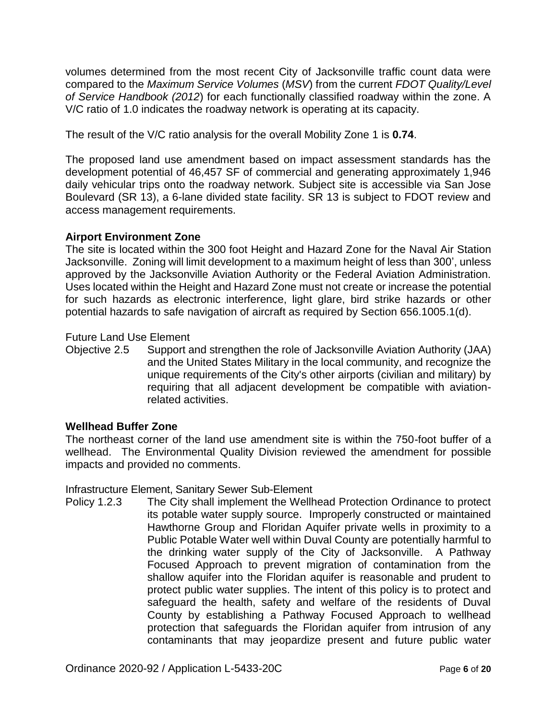volumes determined from the most recent City of Jacksonville traffic count data were compared to the *Maximum Service Volumes* (*MSV*) from the current *FDOT Quality/Level of Service Handbook (2012*) for each functionally classified roadway within the zone. A V/C ratio of 1.0 indicates the roadway network is operating at its capacity.

The result of the V/C ratio analysis for the overall Mobility Zone 1 is **0.74**.

The proposed land use amendment based on impact assessment standards has the development potential of 46,457 SF of commercial and generating approximately 1,946 daily vehicular trips onto the roadway network. Subject site is accessible via San Jose Boulevard (SR 13), a 6-lane divided state facility. SR 13 is subject to FDOT review and access management requirements.

#### **Airport Environment Zone**

The site is located within the 300 foot Height and Hazard Zone for the Naval Air Station Jacksonville. Zoning will limit development to a maximum height of less than 300', unless approved by the Jacksonville Aviation Authority or the Federal Aviation Administration. Uses located within the Height and Hazard Zone must not create or increase the potential for such hazards as electronic interference, light glare, bird strike hazards or other potential hazards to safe navigation of aircraft as required by Section 656.1005.1(d).

#### Future Land Use Element

Objective 2.5 Support and strengthen the role of Jacksonville Aviation Authority (JAA) and the United States Military in the local community, and recognize the unique requirements of the City's other airports (civilian and military) by requiring that all adjacent development be compatible with aviationrelated activities.

#### **Wellhead Buffer Zone**

The northeast corner of the land use amendment site is within the 750-foot buffer of a wellhead. The Environmental Quality Division reviewed the amendment for possible impacts and provided no comments.

Infrastructure Element, Sanitary Sewer Sub-Element

Policy 1.2.3 The City shall implement the Wellhead Protection Ordinance to protect its potable water supply source. Improperly constructed or maintained Hawthorne Group and Floridan Aquifer private wells in proximity to a Public Potable Water well within Duval County are potentially harmful to the drinking water supply of the City of Jacksonville. A Pathway Focused Approach to prevent migration of contamination from the shallow aquifer into the Floridan aquifer is reasonable and prudent to protect public water supplies. The intent of this policy is to protect and safeguard the health, safety and welfare of the residents of Duval County by establishing a Pathway Focused Approach to wellhead protection that safeguards the Floridan aquifer from intrusion of any contaminants that may jeopardize present and future public water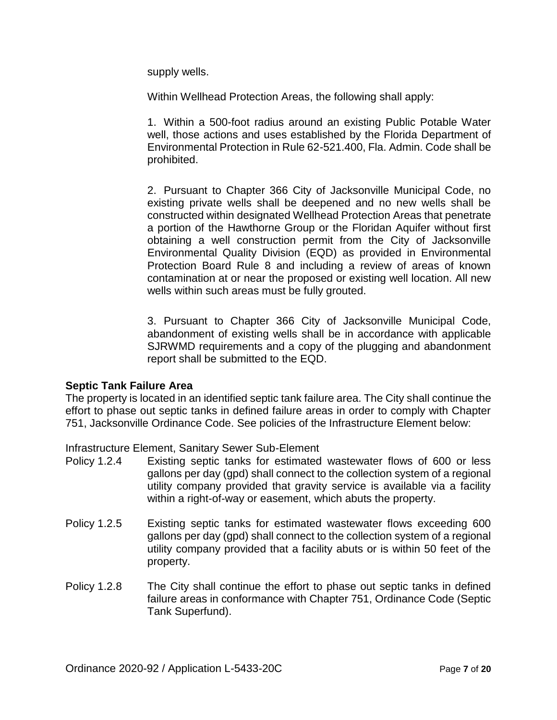supply wells.

Within Wellhead Protection Areas, the following shall apply:

1. Within a 500-foot radius around an existing Public Potable Water well, those actions and uses established by the Florida Department of Environmental Protection in Rule 62-521.400, Fla. Admin. Code shall be prohibited.

2. Pursuant to Chapter 366 City of Jacksonville Municipal Code, no existing private wells shall be deepened and no new wells shall be constructed within designated Wellhead Protection Areas that penetrate a portion of the Hawthorne Group or the Floridan Aquifer without first obtaining a well construction permit from the City of Jacksonville Environmental Quality Division (EQD) as provided in Environmental Protection Board Rule 8 and including a review of areas of known contamination at or near the proposed or existing well location. All new wells within such areas must be fully grouted.

3. Pursuant to Chapter 366 City of Jacksonville Municipal Code, abandonment of existing wells shall be in accordance with applicable SJRWMD requirements and a copy of the plugging and abandonment report shall be submitted to the EQD.

#### **Septic Tank Failure Area**

The property is located in an identified septic tank failure area. The City shall continue the effort to phase out septic tanks in defined failure areas in order to comply with Chapter 751, Jacksonville Ordinance Code. See policies of the Infrastructure Element below:

Infrastructure Element, Sanitary Sewer Sub-Element

- Policy 1.2.4 Existing septic tanks for estimated wastewater flows of 600 or less gallons per day (gpd) shall connect to the collection system of a regional utility company provided that gravity service is available via a facility within a right-of-way or easement, which abuts the property.
- Policy 1.2.5 Existing septic tanks for estimated wastewater flows exceeding 600 gallons per day (gpd) shall connect to the collection system of a regional utility company provided that a facility abuts or is within 50 feet of the property.
- Policy 1.2.8 The City shall continue the effort to phase out septic tanks in defined failure areas in conformance with Chapter 751, Ordinance Code (Septic Tank Superfund).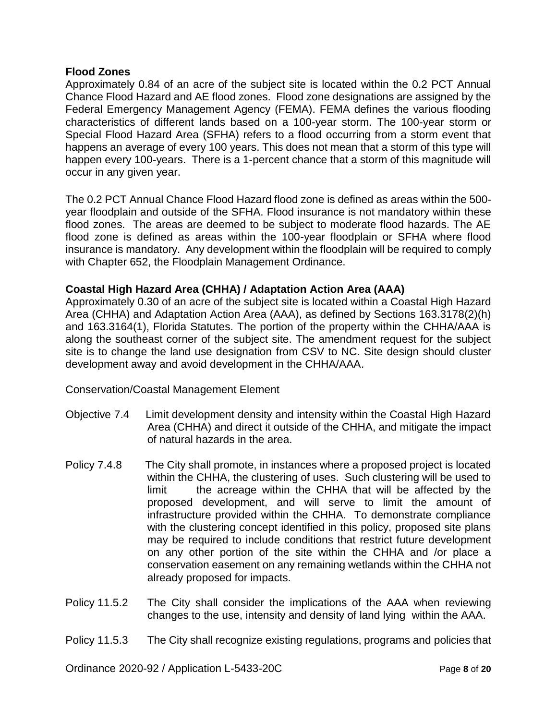#### **Flood Zones**

Approximately 0.84 of an acre of the subject site is located within the 0.2 PCT Annual Chance Flood Hazard and AE flood zones. Flood zone designations are assigned by the Federal Emergency Management Agency (FEMA). FEMA defines the various flooding characteristics of different lands based on a 100-year storm. The 100-year storm or Special Flood Hazard Area (SFHA) refers to a flood occurring from a storm event that happens an average of every 100 years. This does not mean that a storm of this type will happen every 100-years. There is a 1-percent chance that a storm of this magnitude will occur in any given year.

The 0.2 PCT Annual Chance Flood Hazard flood zone is defined as areas within the 500 year floodplain and outside of the SFHA. Flood insurance is not mandatory within these flood zones. The areas are deemed to be subject to moderate flood hazards. The AE flood zone is defined as areas within the 100-year floodplain or SFHA where flood insurance is mandatory. Any development within the floodplain will be required to comply with Chapter 652, the Floodplain Management Ordinance.

#### **Coastal High Hazard Area (CHHA) / Adaptation Action Area (AAA)**

Approximately 0.30 of an acre of the subject site is located within a Coastal High Hazard Area (CHHA) and Adaptation Action Area (AAA), as defined by Sections 163.3178(2)(h) and 163.3164(1), Florida Statutes. The portion of the property within the CHHA/AAA is along the southeast corner of the subject site. The amendment request for the subject site is to change the land use designation from CSV to NC. Site design should cluster development away and avoid development in the CHHA/AAA.

Conservation/Coastal Management Element

- Objective 7.4 Limit development density and intensity within the Coastal High Hazard Area (CHHA) and direct it outside of the CHHA, and mitigate the impact of natural hazards in the area.
- Policy 7.4.8 The City shall promote, in instances where a proposed project is located within the CHHA, the clustering of uses. Such clustering will be used to limit the acreage within the CHHA that will be affected by the proposed development, and will serve to limit the amount of infrastructure provided within the CHHA. To demonstrate compliance with the clustering concept identified in this policy, proposed site plans may be required to include conditions that restrict future development on any other portion of the site within the CHHA and /or place a conservation easement on any remaining wetlands within the CHHA not already proposed for impacts.
- Policy 11.5.2 The City shall consider the implications of the AAA when reviewing changes to the use, intensity and density of land lying within the AAA.

#### Policy 11.5.3 The City shall recognize existing regulations, programs and policies that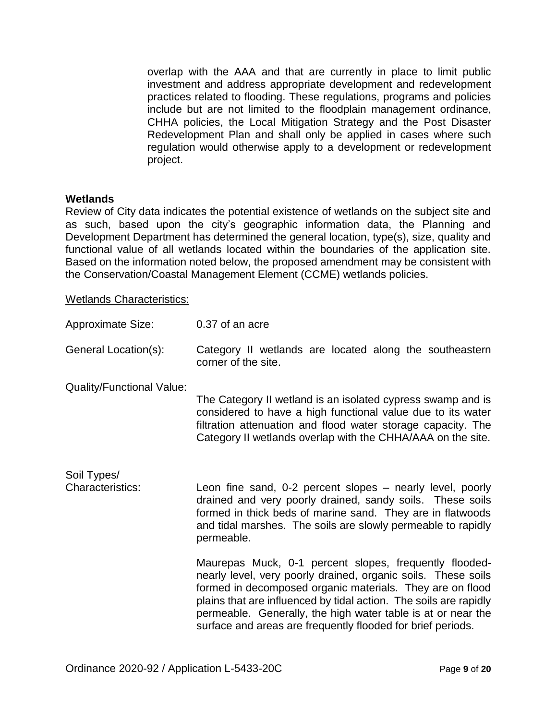overlap with the AAA and that are currently in place to limit public investment and address appropriate development and redevelopment practices related to flooding. These regulations, programs and policies include but are not limited to the floodplain management ordinance, CHHA policies, the Local Mitigation Strategy and the Post Disaster Redevelopment Plan and shall only be applied in cases where such regulation would otherwise apply to a development or redevelopment project.

#### **Wetlands**

Review of City data indicates the potential existence of wetlands on the subject site and as such, based upon the city's geographic information data, the Planning and Development Department has determined the general location, type(s), size, quality and functional value of all wetlands located within the boundaries of the application site. Based on the information noted below, the proposed amendment may be consistent with the Conservation/Coastal Management Element (CCME) wetlands policies.

Wetlands Characteristics:

| <b>Approximate Size:</b>               | 0.37 of an acre                                                                                                                                                                                                                                                                                                                                                                          |
|----------------------------------------|------------------------------------------------------------------------------------------------------------------------------------------------------------------------------------------------------------------------------------------------------------------------------------------------------------------------------------------------------------------------------------------|
| General Location(s):                   | Category II wetlands are located along the southeastern<br>corner of the site.                                                                                                                                                                                                                                                                                                           |
| <b>Quality/Functional Value:</b>       | The Category II wetland is an isolated cypress swamp and is<br>considered to have a high functional value due to its water<br>filtration attenuation and flood water storage capacity. The<br>Category II wetlands overlap with the CHHA/AAA on the site.                                                                                                                                |
| Soil Types/<br><b>Characteristics:</b> | Leon fine sand, 0-2 percent slopes – nearly level, poorly<br>drained and very poorly drained, sandy soils. These soils<br>formed in thick beds of marine sand. They are in flatwoods<br>and tidal marshes. The soils are slowly permeable to rapidly<br>permeable.                                                                                                                       |
|                                        | Maurepas Muck, 0-1 percent slopes, frequently flooded-<br>nearly level, very poorly drained, organic soils. These soils<br>formed in decomposed organic materials. They are on flood<br>plains that are influenced by tidal action. The soils are rapidly<br>permeable. Generally, the high water table is at or near the<br>surface and areas are frequently flooded for brief periods. |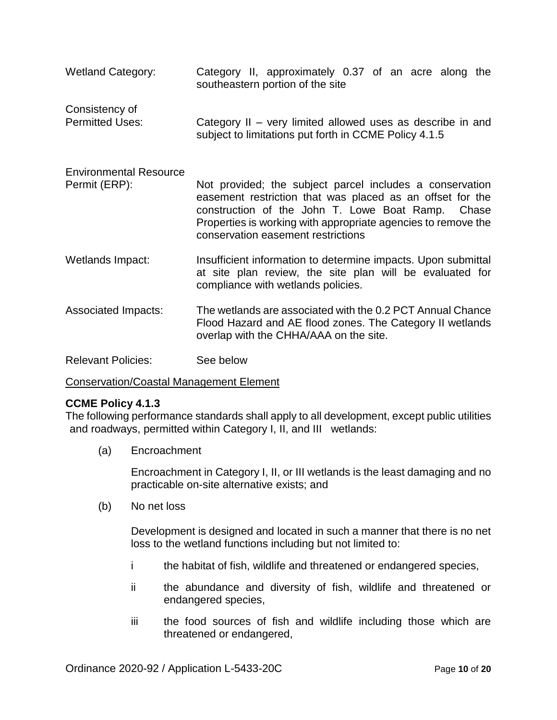| <b>Wetland Category:</b>                       | Category II, approximately 0.37 of an acre along the<br>southeastern portion of the site                                                                                                                                                                                          |
|------------------------------------------------|-----------------------------------------------------------------------------------------------------------------------------------------------------------------------------------------------------------------------------------------------------------------------------------|
| Consistency of<br><b>Permitted Uses:</b>       | Category II – very limited allowed uses as describe in and<br>subject to limitations put forth in CCME Policy 4.1.5                                                                                                                                                               |
| <b>Environmental Resource</b><br>Permit (ERP): | Not provided; the subject parcel includes a conservation<br>easement restriction that was placed as an offset for the<br>construction of the John T. Lowe Boat Ramp. Chase<br>Properties is working with appropriate agencies to remove the<br>conservation easement restrictions |
| Wetlands Impact:                               | Insufficient information to determine impacts. Upon submittal<br>at site plan review, the site plan will be evaluated for<br>compliance with wetlands policies.                                                                                                                   |
| <b>Associated Impacts:</b>                     | The wetlands are associated with the 0.2 PCT Annual Chance<br>Flood Hazard and AE flood zones. The Category II wetlands<br>overlap with the CHHA/AAA on the site.                                                                                                                 |
| <b>Relevant Policies:</b>                      | See below                                                                                                                                                                                                                                                                         |

#### Conservation/Coastal Management Element

#### **CCME Policy 4.1.3**

The following performance standards shall apply to all development, except public utilities and roadways, permitted within Category I, II, and III wetlands:

(a) Encroachment

Encroachment in Category I, II, or III wetlands is the least damaging and no practicable on-site alternative exists; and

(b) No net loss

Development is designed and located in such a manner that there is no net loss to the wetland functions including but not limited to:

- i the habitat of fish, wildlife and threatened or endangered species,
- ii the abundance and diversity of fish, wildlife and threatened or endangered species,
- iii the food sources of fish and wildlife including those which are threatened or endangered,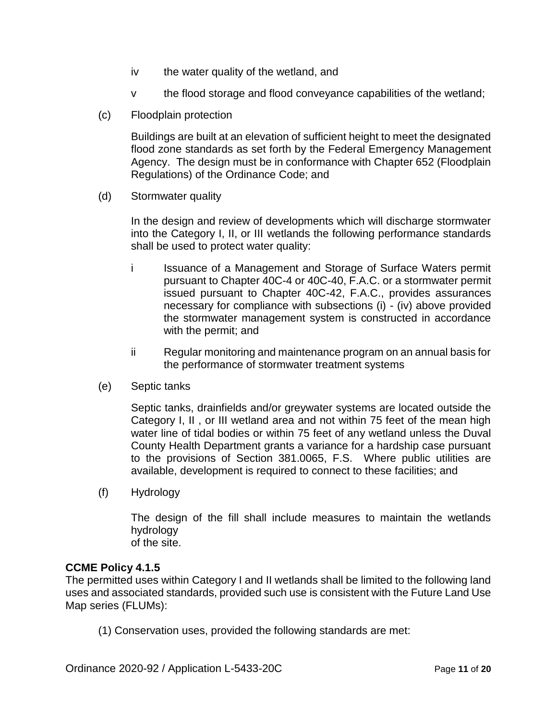- iv the water quality of the wetland, and
- v the flood storage and flood conveyance capabilities of the wetland;
- (c) Floodplain protection

Buildings are built at an elevation of sufficient height to meet the designated flood zone standards as set forth by the Federal Emergency Management Agency. The design must be in conformance with Chapter 652 (Floodplain Regulations) of the Ordinance Code; and

(d) Stormwater quality

In the design and review of developments which will discharge stormwater into the Category I, II, or III wetlands the following performance standards shall be used to protect water quality:

- i Issuance of a Management and Storage of Surface Waters permit pursuant to Chapter 40C-4 or 40C-40, F.A.C. or a stormwater permit issued pursuant to Chapter 40C-42, F.A.C., provides assurances necessary for compliance with subsections (i) - (iv) above provided the stormwater management system is constructed in accordance with the permit; and
- ii Regular monitoring and maintenance program on an annual basis for the performance of stormwater treatment systems
- (e) Septic tanks

Septic tanks, drainfields and/or greywater systems are located outside the Category I, II , or III wetland area and not within 75 feet of the mean high water line of tidal bodies or within 75 feet of any wetland unless the Duval County Health Department grants a variance for a hardship case pursuant to the provisions of Section 381.0065, F.S. Where public utilities are available, development is required to connect to these facilities; and

(f) Hydrology

The design of the fill shall include measures to maintain the wetlands hydrology of the site.

#### **CCME Policy 4.1.5**

The permitted uses within Category I and II wetlands shall be limited to the following land uses and associated standards, provided such use is consistent with the Future Land Use Map series (FLUMs):

(1) Conservation uses, provided the following standards are met: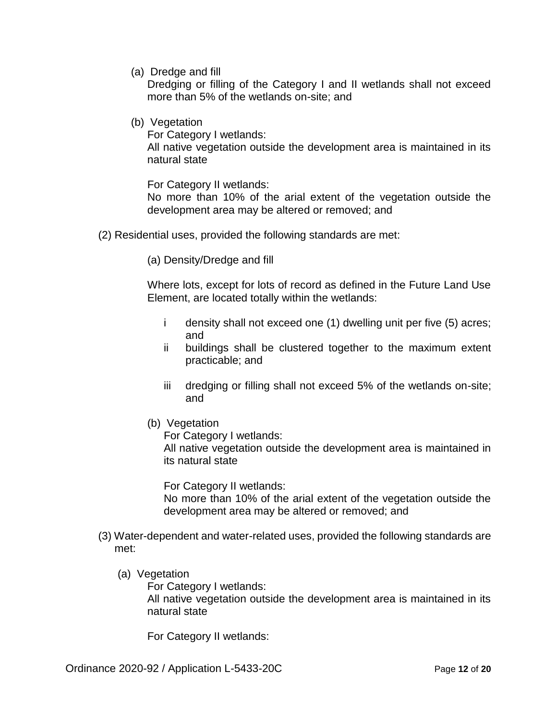(a) Dredge and fill

Dredging or filling of the Category I and II wetlands shall not exceed more than 5% of the wetlands on-site; and

(b) Vegetation

For Category I wetlands:

All native vegetation outside the development area is maintained in its natural state

For Category II wetlands:

No more than 10% of the arial extent of the vegetation outside the development area may be altered or removed; and

- (2) Residential uses, provided the following standards are met:
	- (a) Density/Dredge and fill

Where lots, except for lots of record as defined in the Future Land Use Element, are located totally within the wetlands:

- i density shall not exceed one (1) dwelling unit per five (5) acres; and
- ii buildings shall be clustered together to the maximum extent practicable; and
- iii dredging or filling shall not exceed 5% of the wetlands on-site; and
- (b) Vegetation

For Category I wetlands:

All native vegetation outside the development area is maintained in its natural state

For Category II wetlands:

No more than 10% of the arial extent of the vegetation outside the development area may be altered or removed; and

- (3) Water-dependent and water-related uses, provided the following standards are met:
	- (a) Vegetation

For Category I wetlands:

All native vegetation outside the development area is maintained in its natural state

For Category II wetlands: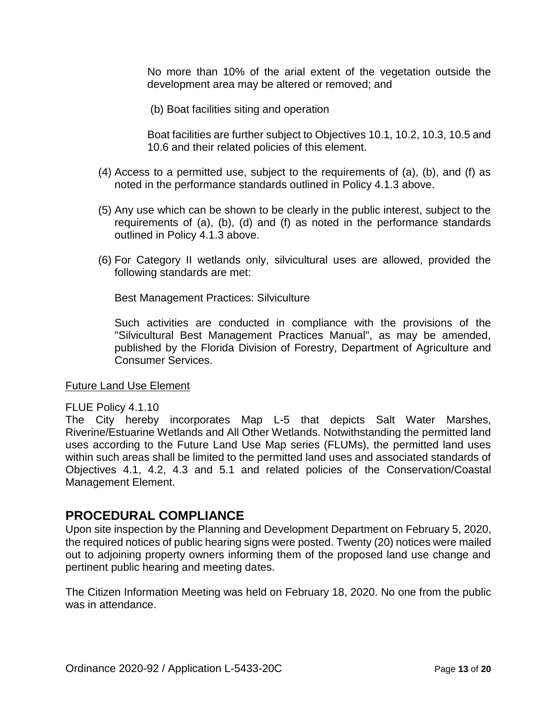No more than 10% of the arial extent of the vegetation outside the development area may be altered or removed; and

(b) Boat facilities siting and operation

Boat facilities are further subject to Objectives 10.1, 10.2, 10.3, 10.5 and 10.6 and their related policies of this element.

- (4) Access to a permitted use, subject to the requirements of (a), (b), and (f) as noted in the performance standards outlined in Policy 4.1.3 above.
- (5) Any use which can be shown to be clearly in the public interest, subject to the requirements of (a), (b), (d) and (f) as noted in the performance standards outlined in Policy 4.1.3 above.
- (6) For Category II wetlands only, silvicultural uses are allowed, provided the following standards are met:

Best Management Practices: Silviculture

Such activities are conducted in compliance with the provisions of the "Silvicultural Best Management Practices Manual", as may be amended, published by the Florida Division of Forestry, Department of Agriculture and Consumer Services.

#### Future Land Use Element

#### FLUE Policy 4.1.10

The City hereby incorporates Map L-5 that depicts Salt Water Marshes, Riverine/Estuarine Wetlands and All Other Wetlands. Notwithstanding the permitted land uses according to the Future Land Use Map series (FLUMs), the permitted land uses within such areas shall be limited to the permitted land uses and associated standards of Objectives 4.1, 4.2, 4.3 and 5.1 and related policies of the Conservation/Coastal Management Element.

#### **PROCEDURAL COMPLIANCE**

Upon site inspection by the Planning and Development Department on February 5, 2020, the required notices of public hearing signs were posted. Twenty (20) notices were mailed out to adjoining property owners informing them of the proposed land use change and pertinent public hearing and meeting dates.

The Citizen Information Meeting was held on February 18, 2020. No one from the public was in attendance.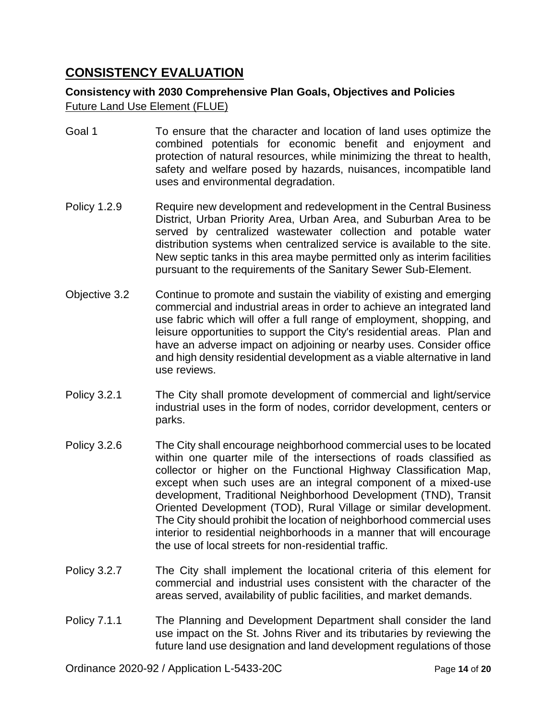#### **CONSISTENCY EVALUATION**

#### **Consistency with 2030 Comprehensive Plan Goals, Objectives and Policies** Future Land Use Element (FLUE)

- Goal 1 To ensure that the character and location of land uses optimize the combined potentials for economic benefit and enjoyment and protection of natural resources, while minimizing the threat to health, safety and welfare posed by hazards, nuisances, incompatible land uses and environmental degradation.
- Policy 1.2.9 Require new development and redevelopment in the Central Business District, Urban Priority Area, Urban Area, and Suburban Area to be served by centralized wastewater collection and potable water distribution systems when centralized service is available to the site. New septic tanks in this area maybe permitted only as interim facilities pursuant to the requirements of the Sanitary Sewer Sub-Element.
- Objective 3.2 Continue to promote and sustain the viability of existing and emerging commercial and industrial areas in order to achieve an integrated land use fabric which will offer a full range of employment, shopping, and leisure opportunities to support the City's residential areas. Plan and have an adverse impact on adjoining or nearby uses. Consider office and high density residential development as a viable alternative in land use reviews.
- Policy 3.2.1 The City shall promote development of commercial and light/service industrial uses in the form of nodes, corridor development, centers or parks.
- Policy 3.2.6 The City shall encourage neighborhood commercial uses to be located within one quarter mile of the intersections of roads classified as collector or higher on the Functional Highway Classification Map, except when such uses are an integral component of a mixed-use development, Traditional Neighborhood Development (TND), Transit Oriented Development (TOD), Rural Village or similar development. The City should prohibit the location of neighborhood commercial uses interior to residential neighborhoods in a manner that will encourage the use of local streets for non-residential traffic.
- Policy 3.2.7 The City shall implement the locational criteria of this element for commercial and industrial uses consistent with the character of the areas served, availability of public facilities, and market demands.
- Policy 7.1.1 The Planning and Development Department shall consider the land use impact on the St. Johns River and its tributaries by reviewing the future land use designation and land development regulations of those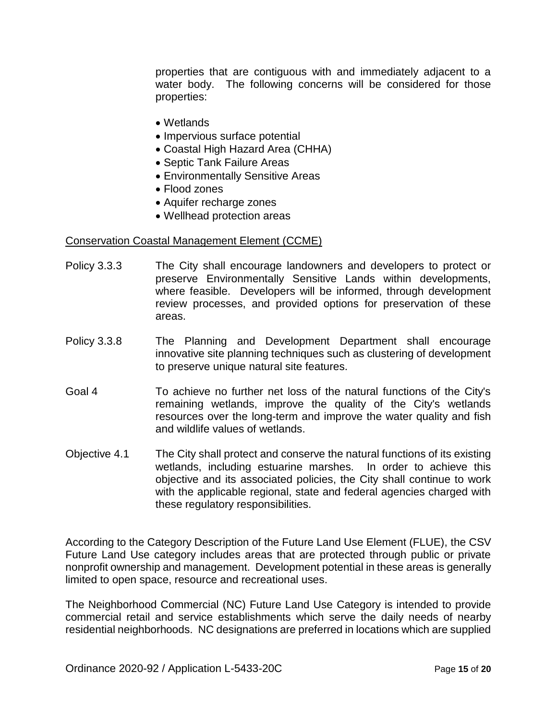properties that are contiguous with and immediately adjacent to a water body. The following concerns will be considered for those properties:

- Wetlands
- Impervious surface potential
- Coastal High Hazard Area (CHHA)
- Septic Tank Failure Areas
- Environmentally Sensitive Areas
- Flood zones
- Aquifer recharge zones
- Wellhead protection areas

#### Conservation Coastal Management Element (CCME)

- Policy 3.3.3 The City shall encourage landowners and developers to protect or preserve Environmentally Sensitive Lands within developments, where feasible. Developers will be informed, through development review processes, and provided options for preservation of these areas.
- Policy 3.3.8 The Planning and Development Department shall encourage innovative site planning techniques such as clustering of development to preserve unique natural site features.
- Goal 4 To achieve no further net loss of the natural functions of the City's remaining wetlands, improve the quality of the City's wetlands resources over the long-term and improve the water quality and fish and wildlife values of wetlands.
- Objective 4.1 The City shall protect and conserve the natural functions of its existing wetlands, including estuarine marshes. In order to achieve this objective and its associated policies, the City shall continue to work with the applicable regional, state and federal agencies charged with these regulatory responsibilities.

According to the Category Description of the Future Land Use Element (FLUE), the CSV Future Land Use category includes areas that are protected through public or private nonprofit ownership and management. Development potential in these areas is generally limited to open space, resource and recreational uses.

The Neighborhood Commercial (NC) Future Land Use Category is intended to provide commercial retail and service establishments which serve the daily needs of nearby residential neighborhoods. NC designations are preferred in locations which are supplied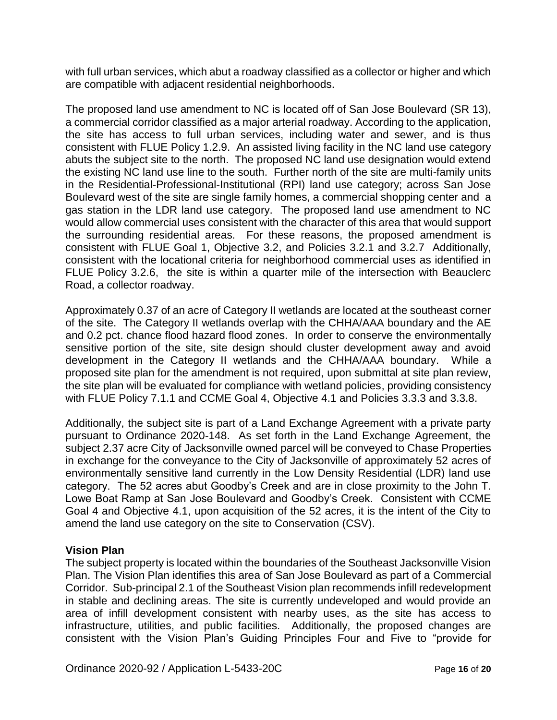with full urban services, which abut a roadway classified as a collector or higher and which are compatible with adjacent residential neighborhoods.

The proposed land use amendment to NC is located off of San Jose Boulevard (SR 13), a commercial corridor classified as a major arterial roadway. According to the application, the site has access to full urban services, including water and sewer, and is thus consistent with FLUE Policy 1.2.9. An assisted living facility in the NC land use category abuts the subject site to the north. The proposed NC land use designation would extend the existing NC land use line to the south. Further north of the site are multi-family units in the Residential-Professional-Institutional (RPI) land use category; across San Jose Boulevard west of the site are single family homes, a commercial shopping center and a gas station in the LDR land use category. The proposed land use amendment to NC would allow commercial uses consistent with the character of this area that would support the surrounding residential areas. For these reasons, the proposed amendment is consistent with FLUE Goal 1, Objective 3.2, and Policies 3.2.1 and 3.2.7 Additionally, consistent with the locational criteria for neighborhood commercial uses as identified in FLUE Policy 3.2.6, the site is within a quarter mile of the intersection with Beauclerc Road, a collector roadway.

Approximately 0.37 of an acre of Category II wetlands are located at the southeast corner of the site. The Category II wetlands overlap with the CHHA/AAA boundary and the AE and 0.2 pct. chance flood hazard flood zones. In order to conserve the environmentally sensitive portion of the site, site design should cluster development away and avoid development in the Category II wetlands and the CHHA/AAA boundary. While a proposed site plan for the amendment is not required, upon submittal at site plan review, the site plan will be evaluated for compliance with wetland policies, providing consistency with FLUE Policy 7.1.1 and CCME Goal 4, Objective 4.1 and Policies 3.3.3 and 3.3.8.

Additionally, the subject site is part of a Land Exchange Agreement with a private party pursuant to Ordinance 2020-148. As set forth in the Land Exchange Agreement, the subject 2.37 acre City of Jacksonville owned parcel will be conveyed to Chase Properties in exchange for the conveyance to the City of Jacksonville of approximately 52 acres of environmentally sensitive land currently in the Low Density Residential (LDR) land use category. The 52 acres abut Goodby's Creek and are in close proximity to the John T. Lowe Boat Ramp at San Jose Boulevard and Goodby's Creek. Consistent with CCME Goal 4 and Objective 4.1, upon acquisition of the 52 acres, it is the intent of the City to amend the land use category on the site to Conservation (CSV).

#### **Vision Plan**

The subject property is located within the boundaries of the Southeast Jacksonville Vision Plan. The Vision Plan identifies this area of San Jose Boulevard as part of a Commercial Corridor. Sub-principal 2.1 of the Southeast Vision plan recommends infill redevelopment in stable and declining areas. The site is currently undeveloped and would provide an area of infill development consistent with nearby uses, as the site has access to infrastructure, utilities, and public facilities. Additionally, the proposed changes are consistent with the Vision Plan's Guiding Principles Four and Five to "provide for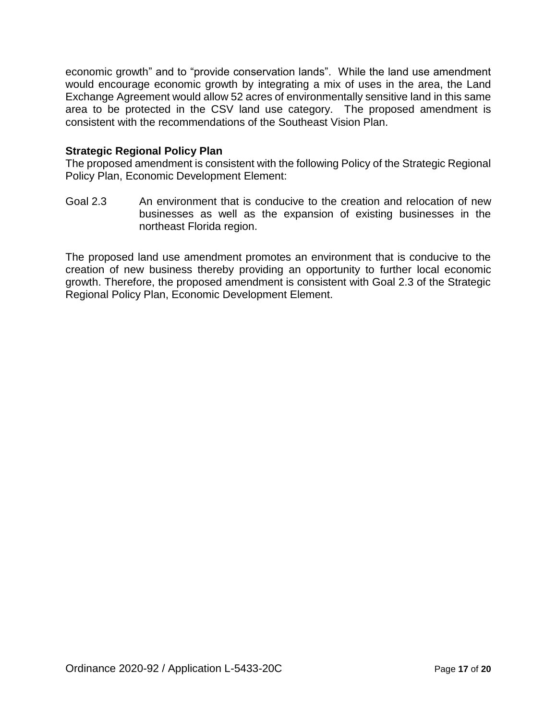economic growth" and to "provide conservation lands". While the land use amendment would encourage economic growth by integrating a mix of uses in the area, the Land Exchange Agreement would allow 52 acres of environmentally sensitive land in this same area to be protected in the CSV land use category. The proposed amendment is consistent with the recommendations of the Southeast Vision Plan.

#### **Strategic Regional Policy Plan**

The proposed amendment is consistent with the following Policy of the Strategic Regional Policy Plan, Economic Development Element:

Goal 2.3 An environment that is conducive to the creation and relocation of new businesses as well as the expansion of existing businesses in the northeast Florida region.

The proposed land use amendment promotes an environment that is conducive to the creation of new business thereby providing an opportunity to further local economic growth. Therefore, the proposed amendment is consistent with Goal 2.3 of the Strategic Regional Policy Plan, Economic Development Element.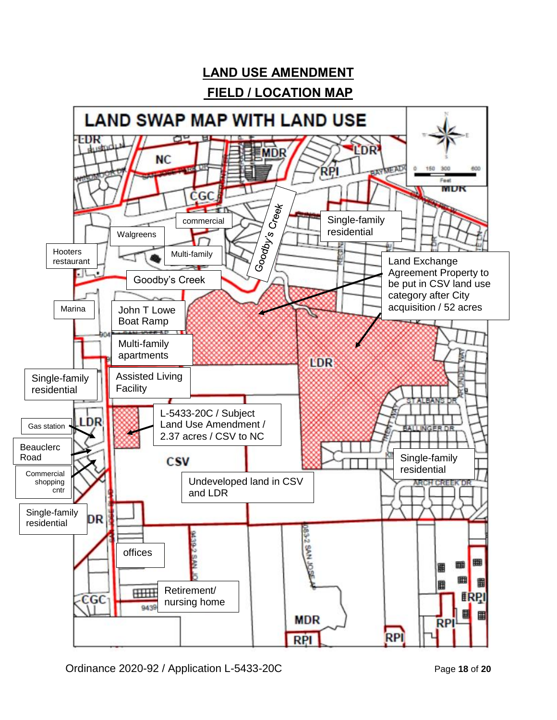

Ordinance 2020-92 / Application L-5433-20C Page **18** of **20**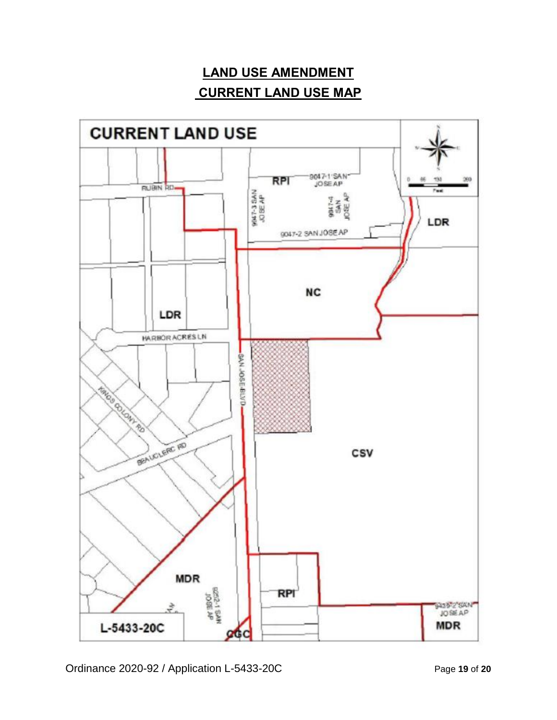# **LAND USE AMENDMENT CURRENT LAND USE MAP**